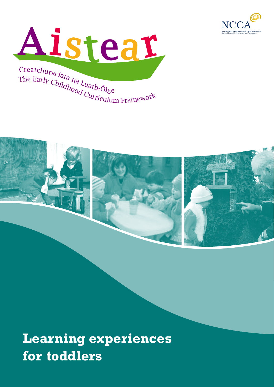



Creatchuraclam na Luath-Óige Creatchuraclam ha Luath-Óige<br>The Early Childho<sub>od</sub> Curriculum Framework



# **Learning experiences for toddlers**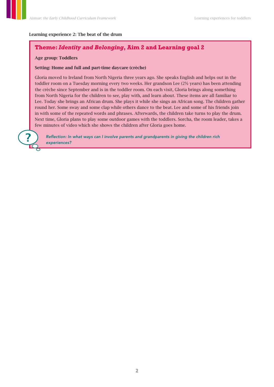#### Learning experience 2: The beat of the drum

## **Theme:** *Identity and Belonging***, Aim 2 and Learning goal 2**

#### Age group: Toddlers

#### Setting: Home and full and part-time daycare (crèche)

Gloria moved to Ireland from North Nigeria three years ago. She speaks English and helps out in the toddler room on a Tuesday morning every two weeks. Her grandson Lee (2½ years) has been attending the crèche since September and is in the toddler room. On each visit, Gloria brings along something from North Nigeria for the children to see, play with, and learn about. These items are all familiar to Lee. Today she brings an African drum. She plays it while she sings an African song. The children gather round her. Some sway and some clap while others dance to the beat. Lee and some of his friends join in with some of the repeated words and phrases. Afterwards, the children take turns to play the drum. Next time, Gloria plans to play some outdoor games with the toddlers. Sorcha, the room leader, takes a few minutes of video which she shows the children after Gloria goes home.

*Reflection: In what ways can I involve parents and grandparents in giving the children rich experiences?*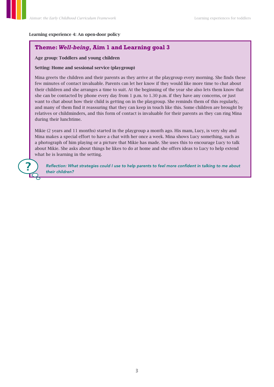#### Learning experience 4: An open-door policy

## **Theme:** *Well-being***, Aim 1 and Learning goal 3**

#### Age group: Toddlers and young children

#### Setting: Home and sessional service (playgroup)

Mina greets the children and their parents as they arrive at the playgroup every morning. She finds these few minutes of contact invaluable. Parents can let her know if they would like more time to chat about their children and she arranges a time to suit. At the beginning of the year she also lets them know that she can be contacted by phone every day from 1 p.m. to 1.30 p.m. if they have any concerns, or just want to chat about how their child is getting on in the playgroup. She reminds them of this regularly, and many of them find it reassuring that they can keep in touch like this. Some children are brought by relatives or childminders, and this form of contact is invaluable for their parents as they can ring Mina during their lunchtime.

Mikie (2 years and 11 months) started in the playgroup a month ago. His mam, Lucy, is very shy and Mina makes a special effort to have a chat with her once a week. Mina shows Lucy something, such as a photograph of him playing or a picture that Mikie has made. She uses this to encourage Lucy to talk about Mikie. She asks about things he likes to do at home and she offers ideas to Lucy to help extend what he is learning in the setting.



*Reflection: What strategies could I use to help parents to feel more confident in talking to me about their children?*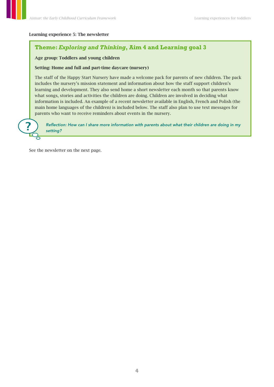#### Learning experience 5: The newsletter

## **Theme:** *Exploring and Thinking***, Aim 4 and Learning goal 3**

#### Age group: Toddlers and young children

#### Setting: Home and full and part-time daycare (nursery)

The staff of the Happy Start Nursery have made a welcome pack for parents of new children. The pack includes the nursery's mission statement and information about how the staff support children's learning and development. They also send home a short newsletter each month so that parents know what songs, stories and activities the children are doing. Children are involved in deciding what information is included. An example of a recent newsletter available in English, French and Polish (the main home languages of the children) is included below. The staff also plan to use text messages for parents who want to receive reminders about events in the nursery.

*Reflection: How can I share more information with parents about what their children are doing in my setting?*

See the newsletter on the next page.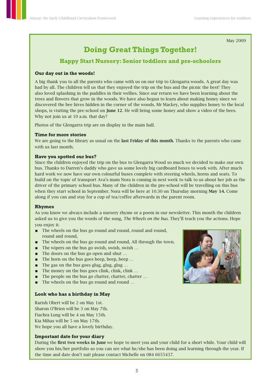May 2009

## **Doing Great Things Together!**

## **Happy Start Nursery: Senior toddlers and pre-schoolers**

#### **Our day out in the woods!**

A big thank you to all the parents who came with us on our trip to Glengarra woods. A great day was had by all. The children tell us that they enjoyed the trip on the bus and the picnic the best! They also loved splashing in the puddles in their wellies. Since our return we have been learning about the trees and flowers that grow in the woods. We have also begun to learn about making honey since we discovered the bee hives hidden in the corner of the woods. Mr Mackey, who supplies honey to the local shops, is visiting the pre-school on June 12. He will bring some honey and show a video of the bees. Why not join us at 10 a.m. that day?

Photos of the Glengarra trip are on display in the main hall.

#### **Time for more stories**

We are going to the library as usual on the **last Friday of this month**. Thanks to the parents who came with us last month.

#### **Have you spotted our bus?**

Since the children enjoyed the trip on the bus to Glengarra Wood so much we decided to make our own bus. Thanks to Darren's daddy who gave us some lovely big cardboard boxes to work with. After much hard work we now have our own colourful buses complete with steering wheels, horns and seats. To build on the topic of transport Ava's mam Nora is coming in next week to talk to us about her job as the driver of the primary school bus. Many of the children in the pre-school will be travelling on this bus when they start school in September. Nora will be here at 10.30 on Thursday morning May 14. Come along if you can and stay for a cup of tea/coffee afterwards in the parent room.

#### **Rhymes**

As you know we always include a nursery rhyme or a poem in our newsletter. This month the children asked us to give you the words of the song, *The Wheels on the bus*. They'll teach you the actions. Hope you enjoy it.

- The wheels on the bus go round and round, round and round, round and round,
- The wheels on the bus go round and round, All through the town.
- The wipers on the bus go swish, swish, swish ...
- The doors on the bus go open and shut ...
- The horn on the bus goes beep, beep, beep ...
- The gas on the bus goes glug, glug, glug ...
- $\blacksquare$  The money on the bus goes clink, clink, clink ...
- The people on the bus go chatter, chatter, chatter ...
- The wheels on the bus go round and round ...

#### **Look who has a birthday in May**

Rarish Obert will be 2 on May 1st. Sharon O'Brien will be 3 on May 7th. Fiachra Long will be 4 on May 15th. Kia Mihas will be 5 on May 17th. We hope you all have a lovely birthday.

#### **Important date for your diary**

During the first two weeks in June we hope to meet you and your child for a short while. Your child will show you his/her portfolio so you can see what he/she has been doing and learning through the year. If the time and date don't suit please contact Michelle on 084 6655437.

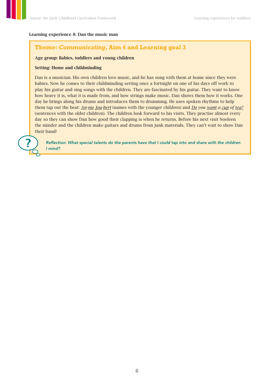#### Learning experience 8: Dan the music man

## **Theme:** *Communicating***, Aim 4 and Learning goal 3**

#### Age group: Babies, toddlers and young children

#### Setting: Home and childminding

Dan is a musician. His own children love music, and he has sung with them at home since they were babies. Now he comes to their childminding setting once a fortnight on one of his days off work to play his guitar and sing songs with the children. They are fascinated by his guitar. They want to know how heavy it is, what it is made from, and how strings make music. Dan shows them how it works. One day he brings along his drums and introduces them to drumming. He uses spoken rhythms to help them tap out the beat: *An-nie Jou-bert* (names with the younger children) and *Do you want a cup of tea?* (sentences with the older children). The children look forward to his visits. They practise almost every day so they can show Dan how good their clapping is when he returns. Before his next visit Noeleen the minder and the children make guitars and drums from junk materials. They can't wait to show Dan their band!



*Reflection: What special talents do the parents have that I could tap into and share with the children I mind?*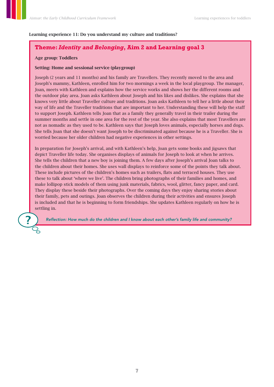#### Learning experience 11: Do you understand my culture and traditions?

## **Theme:** *Identity and Belonging***, Aim 2 and Learning goal 3**

#### Age group: Toddlers

#### Setting: Home and sessional service (playgroup)

Joseph (2 years and 11 months) and his family are Travellers. They recently moved to the area and Joseph's mammy, Kathleen, enrolled him for two mornings a week in the local playgroup. The manager, Joan, meets with Kathleen and explains how the service works and shows her the different rooms and the outdoor play area. Joan asks Kathleen about Joseph and his likes and dislikes. She explains that she knows very little about Traveller culture and traditions. Joan asks Kathleen to tell her a little about their way of life and the Traveller traditions that are important to her. Understanding these will help the staff to support Joseph. Kathleen tells Joan that as a family they generally travel in their trailer during the summer months and settle in one area for the rest of the year. She also explains that most Travellers are not as nomadic as they used to be. Kathleen says that Joseph loves animals, especially horses and dogs. She tells Joan that she doesn't want Joseph to be discriminated against because he is a Traveller. She is worried because her older children had negative experiences in other settings.

In preparation for Joseph's arrival, and with Kathleen's help, Joan gets some books and jigsaws that depict Traveller life today. She organises displays of animals for Joseph to look at when he arrives. She tells the children that a new boy is joining them. A few days after Joseph's arrival Joan talks to the children about their homes. She uses wall displays to reinforce some of the points they talk about. These include pictures of the children's homes such as trailers, flats and terraced houses. They use these to talk about 'where we live'. The children bring photographs of their families and homes, and make lollipop stick models of them using junk materials, fabrics, wool, glitter, fancy paper, and card. They display these beside their photographs. Over the coming days they enjoy sharing stories about their family, pets and outings. Joan observes the children during their activities and ensures Joseph is included and that he is beginning to form friendships. She updates Kathleen regularly on how he is settling in.

*Reflection: How much do the children and I know about each other's family life and community?*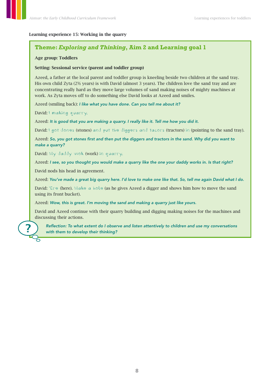#### Learning experience 15: Working in the quarry

## **Theme:** *Exploring and Thinking***, Aim 2 and Learning goal 1**

#### Age group: Toddlers

#### Setting: Sessional service (parent and toddler group)

Azeed, a father at the local parent and toddler group is kneeling beside two children at the sand tray. His own child Zyta (2½ years) is with David (almost 3 years). The children love the sand tray and are concentrating really hard as they move large volumes of sand making noises of mighty machines at work. As Zyta moves off to do something else David looks at Azeed and smiles.

Azeed (smiling back): *I like what you have done. Can you tell me about it?* 

David: I making quarry.

Azeed: *It is good that you are making a quarry. I really like it. Tell me how you did it.*

David: I got dones (stones) and put the diggers and tacors (tractors) in (pointing to the sand tray).

Azeed: *So, you got stones first and then put the diggers and tractors in the sand. Why did you want to make a quarry?* 

David: My daddy wok (work) in quarry.

Azeed: *I see, so you thought you would make a quarry like the one your daddy works in. Is that right?* 

David nods his head in agreement.

Azeed: *You've made a great big quarry here. I'd love to make one like that. So, tell me again David what I do.*

David: 'Ere (here). Make a hole (as he gives Azeed a digger and shows him how to move the sand using its front bucket).

Azeed: *Wow, this is great. I'm moving the sand and making a quarry just like yours.* 

David and Azeed continue with their quarry building and digging making noises for the machines and discussing their actions.



*Reflection: To what extent do I observe and listen attentively to children and use my conversations with them to develop their thinking?*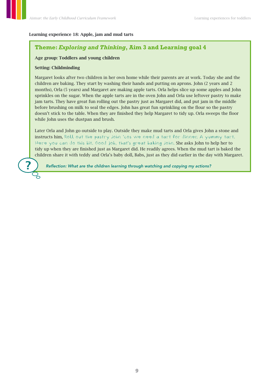#### Learning experience 18: Apple, jam and mud tarts

## **Theme:** *Exploring and Thinking***, Aim 3 and Learning goal 4**

#### Age group: Toddlers and young children

#### Setting: Childminding

Margaret looks after two children in her own home while their parents are at work. Today she and the children are baking. They start by washing their hands and putting on aprons. John (2 years and 2 months), Orla (5 years) and Margaret are making apple tarts. Orla helps slice up some apples and John sprinkles on the sugar. When the apple tarts are in the oven John and Orla use leftover pastry to make jam tarts. They have great fun rolling out the pastry just as Margaret did, and put jam in the middle before brushing on milk to seal the edges. John has great fun sprinkling on the flour so the pastry doesn't stick to the table. When they are finished they help Margaret to tidy up. Orla sweeps the floor while John uses the dustpan and brush.

Later Orla and John go outside to play. Outside they make mud tarts and Orla gives John a stone and instructs him, Roll out the pastry John 'cos we need a tart for dinner. A yummy tart. Here you can do this bit. Good job, that's great baking John. She asks John to help her to tidy up when they are finished just as Margaret did. He readily agrees. When the mud tart is baked the children share it with teddy and Orla's baby doll, Babs, just as they did earlier in the day with Margaret.

*Reflection: What are the children learning through watching and copying my actions?*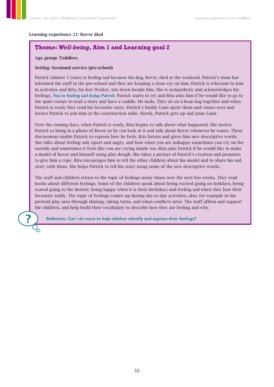#### Learning experience 21: Rover died

## **Theme:** *Well-being***, Aim 1 and Learning goal 2**

#### Age group: Toddlers

#### Setting: Sessional service (pre-school)

Patrick (almost 3 years) is feeling sad because his dog, Rover, died at the weekend. Patrick's mam has informed the staff in the pre-school and they are keeping a close eye on him. Patrick is reluctant to join in activities and Rita, his Key Worker, sits down beside him. She is sympathetic and acknowledges his feelings, *You're feeling sad today Patrick.* Patrick starts to cry and Rita asks him if he would like to go to the quiet corner to read a story and have a cuddle. He nods. They sit on a bean bag together and when Patrick is ready they read his favourite story. Patrick's buddy Liam spots them and comes over and invites Patrick to join him at the construction table. Slowly, Patrick gets up and joins Liam.

Over the coming days, when Patrick is ready, Rita begins to talk about what happened. She invites Patrick to bring in a photo of Rover so he can look at it and talk about Rover whenever he wants. These discussions enable Patrick to express how he feels. Rita listens and gives him new descriptive words. She talks about feeling sad, upset and angry, and how when you are unhappy sometimes you cry on the outside and sometimes it feels like you are crying inside too. Rita asks Patrick if he would like to make a model of Rover and himself using play-dough. She takes a picture of Patrick's creation and promises to give him a copy. Rita encourages him to tell the other children about his model and to share his sad story with them. She helps Patrick to tell his story using some of the new descriptive words.

The staff and children return to the topic of feelings many times over the next few weeks. They read books about different feelings. Some of the children speak about being excited going on holidays, being scared going to the dentist, being happy when it is their birthdays and feeling sad when they lose their favourite teddy. The topic of feelings comes up during day-to-day activities, also, for example in the pretend play area through sharing, taking turns, and when conflicts arise. The staff affirm and support the children, and help build their vocabulary to describe how they are feeling and why.

*Reflection: Can I do more to help children identify and express their feelings?*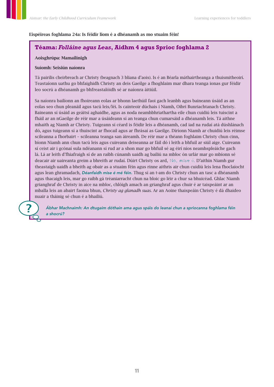Eispéireas foghlama 24a: Is féidir liom é a dhéanamh as mo stuaim féin!

## **Téama:** *Folláine agus Leas***, Aidhm 4 agus Sprioc foghlama 2**

#### Aoisghrúpa: Mamailínigh

#### Suíomh: Seisiún naíonra

Tá pairilis cheirbreach ar Christy (beagnach 3 bliana d'aois). Is é an Béarla máthairtheanga a thuismitheoirí. Teastaíonn uathu go bhfaighidh Christy an deis Gaeilge a fhoghlaim mar dhara teanga ionas gur féidir leo socrú a dhéanamh go bhfreastalóidh sé ar naíonra áitiúil.

Sa naíonra bailíonn an fhoireann eolas ar bhonn laethúil faoi gach leanbh agus baineann úsáid as an eolas seo chun pleanáil agus tacú leis/léi. Is cainteoir dúchais í Niamh, Oibrí Bunriachtanach Christy. Baineann sí úsáid as geáitsí aghaidhe, agus as noda neamhbhriathartha eile chun cuidiú leis tuiscint a fháil ar an nGaeilge de réir mar a úsáideann sí an teanga chun cumarsáid a dhéanamh leis. Tá aithne mhaith ag Niamh ar Christy. Tuigeann sí céard is féidir leis a dhéanamh, cad iad na rudaí atá dúshlánach dó, agus tuigeann sí a thuiscint ar fhocail agus ar fhrásaí as Gaeilge. Díríonn Niamh ar chuidiú leis réimse scileanna a fhorbairt – scileanna teanga san áireamh. De réir mar a théann foghlaim Christy chun cinn, bíonn Niamh ann chun tacú leis agus cuireann deiseanna ar fáil dó i leith a bhfuil ar siúl aige. Cuireann sí ceist air i gcónaí sula ndéanann sí rud ar a shon mar go bhfuil sé ag éirí níos neamhspleáiche gach lá. Lá ar leith d'fhiafraigh sí de an raibh cúnamh uaidh ag bailiú na mbloc ón urlár mar go mbíonn sé deacair air uaireanta greim a bhreith ar rudaí. Dúirt Christy os ard, No, mise é. D'aithin Niamh gur theastaigh uaidh a bheith ag obair as a stuaim féin agus rinne aithris air chun cuidiú leis lena fhoclaíocht agus lean ghramadach, *Déanfaidh mise é mé féin.* Thug sí an t-am do Christy chun an tasc a dhéanamh agus thacaigh leis, mar go raibh gá tréaniarracht chun na bloic go léir a chur sa bhuicéad. Ghlac Niamh grianghraf de Christy in aice na mbloc, chlóigh amach an grianghraf agus chuir é ar taispeáint ar an mballa leis an abairt faoina bhun, *Christy ag glanadh suas*. Ar an Aoine thaispeáin Christy é dá dhaideo nuair a tháinig sé chun é a bhailiú.

*Ábhar Machnaimh: An dtugaim dóthain ama agus spáis do leanaí chun a spriocanna foghlama féin a shocrú?*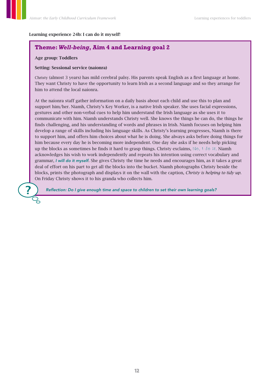#### Learning experience 24b: I can do it myself!

## **Theme:** *Well-being***, Aim 4 and Learning goal 2**

#### Age group: Toddlers

#### Setting: Sessional service (naíonra)

Christy (almost 3 years) has mild cerebral palsy. His parents speak English as a first language at home. They want Christy to have the opportunity to learn Irish as a second language and so they arrange for him to attend the local naíonra.

At the naíonra staff gather information on a daily basis about each child and use this to plan and support him/her. Niamh, Christy's Key Worker, is a native Irish speaker. She uses facial expressions, gestures and other non-verbal cues to help him understand the Irish language as she uses it to communicate with him. Niamh understands Christy well. She knows the things he can do, the things he finds challenging, and his understanding of words and phrases in Irish. Niamh focuses on helping him develop a range of skills including his language skills. As Christy's learning progresses, Niamh is there to support him, and offers him choices about what he is doing. She always asks before doing things for him because every day he is becoming more independent. One day she asks if he needs help picking up the blocks as sometimes he finds it hard to grasp things. Christy exclaims, No, I do it. Niamh acknowledges his wish to work independently and repeats his intention using correct vocabulary and grammar, *I will do it myself*. She gives Christy the time he needs and encourages him, as it takes a great deal of effort on his part to get all the blocks into the bucket. Niamh photographs Christy beside the blocks, prints the photograph and displays it on the wall with the caption, *Christy is helping to tidy up.* On Friday Christy shows it to his granda who collects him.

*Reflection: Do I give enough time and space to children to set their own learning goals?*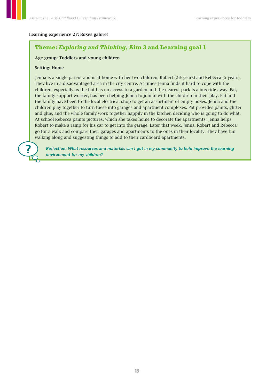#### Learning experience 27: Boxes galore!

## **Theme:** *Exploring and Thinking***, Aim 3 and Learning goal 1**

#### Age group: Toddlers and young children

#### Setting: Home

Jenna is a single parent and is at home with her two children, Robert (2½ years) and Rebecca (5 years). They live in a disadvantaged area in the city centre. At times Jenna finds it hard to cope with the children, especially as the flat has no access to a garden and the nearest park is a bus ride away. Pat, the family support worker, has been helping Jenna to join in with the children in their play. Pat and the family have been to the local electrical shop to get an assortment of empty boxes. Jenna and the children play together to turn these into garages and apartment complexes. Pat provides paints, glitter and glue, and the whole family work together happily in the kitchen deciding who is going to do what. At school Rebecca paints pictures, which she takes home to decorate the apartments. Jenna helps Robert to make a ramp for his car to get into the garage. Later that week, Jenna, Robert and Rebecca go for a walk and compare their garages and apartments to the ones in their locality. They have fun walking along and suggesting things to add to their cardboard apartments.



*Reflection: What resources and materials can I get in my community to help improve the learning environment for my children?*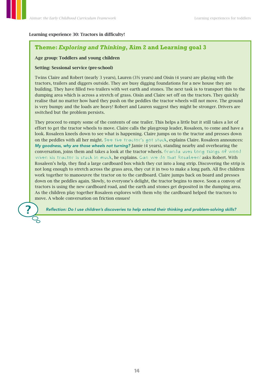#### Learning experience 30: Tractors in difficulty!

## **Theme:** *Exploring and Thinking***, Aim 2 and Learning goal 3**

#### Age group: Toddlers and young children

#### Setting: Sessional service (pre-school)

Twins Claire and Robert (nearly 3 years), Lauren (3½ years) and Oisín (4 years) are playing with the tractors, trailers and diggers outside. They are busy digging foundations for a new house they are building. They have filled two trailers with wet earth and stones. The next task is to transport this to the dumping area which is across a stretch of grass. Oisín and Claire set off on the tractors. They quickly realise that no matter how hard they push on the peddles the tractor wheels will not move. The ground is very bumpy and the loads are heavy! Robert and Lauren suggest they might be stronger. Drivers are switched but the problem persists.

They proceed to empty some of the contents of one trailer. This helps a little but it still takes a lot of effort to get the tractor wheels to move. Claire calls the playgroup leader, Rosaleen, to come and have a look. Rosaleen kneels down to see what is happening. Claire jumps on to the tractor and presses down on the peddles with all her might. See the tractor's got stuck, explains Claire. Rosaleen announces: *My goodness, why are those wheels not turning?* Jamie (4 years), standing nearby and overhearing the conversation, joins them and takes a look at the tractor wheels. Granda uses long things of wood when his tractor is stuck in muck, he explains. Can we do that Rosaleen? asks Robert. With Rosaleen's help, they find a large cardboard box which they cut into a long strip. Discovering the strip is not long enough to stretch across the grass area, they cut it in two to make a long path. All five children work together to manoeuvre the tractor on to the cardboard. Claire jumps back on board and presses down on the peddles again. Slowly, to everyone's delight, the tractor begins to move. Soon a convoy of tractors is using the new cardboard road, and the earth and stones get deposited in the dumping area. As the children play together Rosaleen explores with them why the cardboard helped the tractors to move. A whole conversation on friction ensues!

*Reflection: Do I use children's discoveries to help extend their thinking and problem-solving skills?*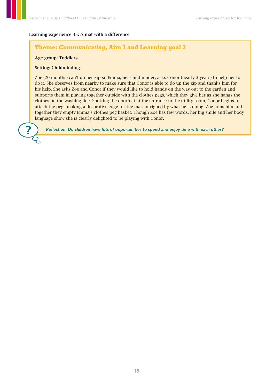#### Learning experience 35: A mat with a difference

## **Theme:** *Communicating***, Aim 1 and Learning goal 3**

## Age group: Toddlers

#### Setting: Childminding

Zoe (20 months) can't do her zip so Emma, her childminder, asks Conor (nearly 3 years) to help her to do it. She observes from nearby to make sure that Conor is able to do up the zip and thanks him for his help. She asks Zoe and Conor if they would like to hold hands on the way out to the garden and supports them in playing together outside with the clothes pegs, which they give her as she hangs the clothes on the washing-line. Spotting the doormat at the entrance to the utility room, Conor begins to attach the pegs making a decorative edge for the mat. Intrigued by what he is doing, Zoe joins him and together they empty Emma's clothes peg basket. Though Zoe has few words, her big smile and her body language show she is clearly delighted to be playing with Conor.

*Reflection: Do children have lots of opportunities to spend and enjoy time with each other?*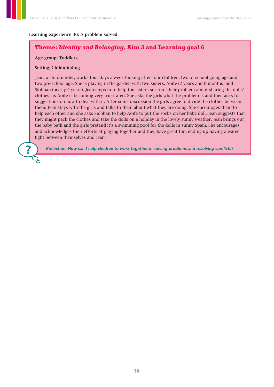#### Learning experience 36: A problem solved

## **Theme:** *Identity and Belonging***, Aim 3 and Learning goal 6**

#### Age group: Toddlers

#### Setting: Childminding

Jean, a childminder, works four days a week looking after four children, two of school going age and two pre-school age. She is playing in the garden with two sisters, Aoife (2 years and 9 months) and Siobhán (nearly 4 years). Jean steps in to help the sisters sort out their problem about sharing the dolls' clothes, as Aoife is becoming very frustrated. She asks the girls what the problem is and then asks for suggestions on how to deal with it. After some discussion the girls agree to divide the clothes between them. Jean stays with the girls and talks to them about what they are doing. She encourages them to help each other and she asks Siobhán to help Aoife to put the socks on her baby doll. Jean suggests that they might pack the clothes and take the dolls on a holiday in the lovely sunny weather. Jean brings out the baby bath and the girls pretend it's a swimming pool for the dolls in sunny Spain. She encourages and acknowledges their efforts at playing together and they have great fun, ending up having a water fight between themselves and Jean!

*Reflection: How can I help children to work together in solving problems and resolving conflicts?*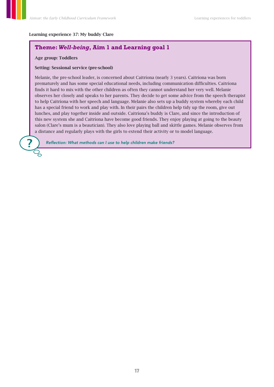#### Learning experience 37: My buddy Clare

## **Theme:** *Well-being***, Aim 1 and Learning goal 1**

#### Age group: Toddlers

#### Setting: Sessional service (pre-school)

Melanie, the pre-school leader, is concerned about Caitríona (nearly 3 years). Caitríona was born prematurely and has some special educational needs, including communication difficulties. Caitríona finds it hard to mix with the other children as often they cannot understand her very well. Melanie observes her closely and speaks to her parents. They decide to get some advice from the speech therapist to help Caitríona with her speech and language. Melanie also sets up a buddy system whereby each child has a special friend to work and play with. In their pairs the children help tidy up the room, give out lunches, and play together inside and outside. Caitríona's buddy is Clare, and since the introduction of this new system she and Caitríona have become good friends. They enjoy playing at going to the beauty salon (Clare's mum is a beautician). They also love playing ball and skittle games. Melanie observes from a distance and regularly plays with the girls to extend their activity or to model language.

*Reflection: What methods can I use to help children make friends?*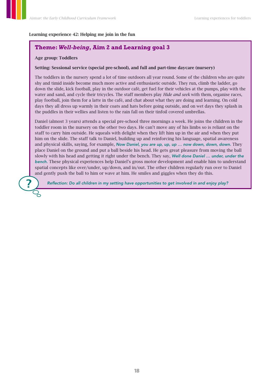#### Learning experience 42: Helping me join in the fun

## **Theme:** *Well-being***, Aim 2 and Learning goal 3**

#### Age group: Toddlers

#### Setting: Sessional service (special pre-school), and full and part-time daycare (nursery)

The toddlers in the nursery spend a lot of time outdoors all year round. Some of the children who are quite shy and timid inside become much more active and enthusiastic outside. They run, climb the ladder, go down the slide, kick football, play in the outdoor café, get fuel for their vehicles at the pumps, play with the water and sand, and cycle their tricycles. The staff members play *Hide and seek* with them, organise races, play football, join them for a latte in the café, and chat about what they are doing and learning. On cold days they all dress up warmly in their coats and hats before going outside, and on wet days they splash in the puddles in their wellies and listen to the rain fall on their tinfoil covered umbrellas.

Daniel (almost 3 years) attends a special pre-school three mornings a week. He joins the children in the toddler room in the nursery on the other two days. He can't move any of his limbs so is reliant on the staff to carry him outside. He squeals with delight when they lift him up in the air and when they put him on the slide. The staff talk to Daniel, building up and reinforcing his language, spatial awareness and physical skills, saying, for example, *Now Daniel, you are up, up, up … now down, down, down.* They place Daniel on the ground and put a ball beside his head. He gets great pleasure from moving the ball slowly with his head and getting it right under the bench. They say, *Well done Daniel … under, under the bench.* These physical experiences help Daniel's gross motor development and enable him to understand spatial concepts like over/under, up/down, and in/out. The other children regularly run over to Daniel and gently push the ball to him or wave at him. He smiles and giggles when they do this.

 *Reflection: Do all children in my setting have opportunities to get involved in and enjoy play?*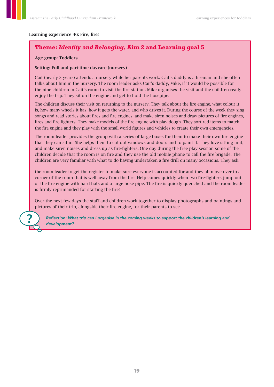#### Learning experience 46: Fire, fire!

## **Theme:** *Identity and Belonging***, Aim 2 and Learning goal 5**

#### Age group: Toddlers

#### Setting: Full and part-time daycare (nursery)

Cáit (nearly 3 years) attends a nursery while her parents work. Cáit's daddy is a fireman and she often talks about him in the nursery. The room leader asks Cait's daddy, Mike, if it would be possible for the nine children in Cait's room to visit the fire station. Mike organises the visit and the children really enjoy the trip. They sit on the engine and get to hold the hosepipe.

The children discuss their visit on returning to the nursery. They talk about the fire engine, what colour it is, how many wheels it has, how it gets the water, and who drives it. During the course of the week they sing songs and read stories about fires and fire engines, and make siren noises and draw pictures of fire engines, fires and fire-fighters. They make models of the fire engine with play-dough. They sort red items to match the fire engine and they play with the small world figures and vehicles to create their own emergencies.

The room leader provides the group with a series of large boxes for them to make their own fire engine that they can sit in. She helps them to cut out windows and doors and to paint it. They love sitting in it, and make siren noises and dress up as fire-fighters. One day during the free play session some of the children decide that the room is on fire and they use the old mobile phone to call the fire brigade. The children are very familiar with what to do having undertaken a fire drill on many occasions. They ask

the room leader to get the register to make sure everyone is accounted for and they all move over to a corner of the room that is well away from the fire. Help comes quickly when two fire-fighters jump out of the fire engine with hard hats and a large hose pipe. The fire is quickly quenched and the room leader is firmly reprimanded for starting the fire!

Over the next few days the staff and children work together to display photographs and paintings and pictures of their trip, alongside their fire engine, for their parents to see.

*Reflection: What trip can I organise in the coming weeks to support the children's learning and development?*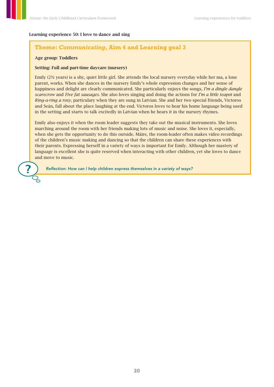#### Learning experience 50: I love to dance and sing

## **Theme:** *Communicating***, Aim 4 and Learning goal 3**

#### Age group: Toddlers

#### Setting: Full and part-time daycare (nursery)

Emily (2½ years) is a shy, quiet little girl. She attends the local nursery everyday while her ma, a lone parent, works. When she dances in the nursery Emily's whole expression changes and her sense of happiness and delight are clearly communicated. She particularly enjoys the songs, *I'm a dingle dangle scarecrow* and *Five fat sausages*. She also loves singing and doing the actions for *I'm a little teapot* and *Ring-a-ring a rosy*, particulary when they are sung in Latvian. She and her two special friends, Victoros and Seán, fall about the place laughing at the end. Victoros loves to hear his home language being used in the setting and starts to talk excitedly in Latvian when he hears it in the nursery rhymes.

Emily also enjoys it when the room leader suggests they take out the musical instruments. She loves marching around the room with her friends making lots of music and noise. She loves it, especially, when she gets the opportunity to do this outside. Máire, the room-leader often makes video recordings of the children's music making and dancing so that the children can share these experiences with their parents. Expressing herself in a variety of ways is important for Emily. Although her mastery of language is excellent she is quite reserved when interacting with other children, yet she loves to dance and move to music.

*Reflection: How can I help children express themselves in a variety of ways?*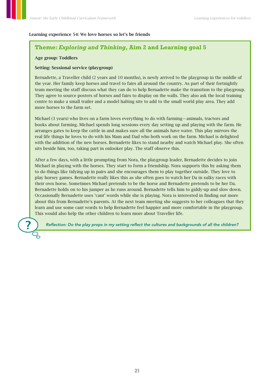#### Learning experience 54: We love horses so let's be friends

## **Theme:** *Exploring and Thinking***, Aim 2 and Learning goal 5**

#### Age group: Toddlers

#### Setting: Sessional service (playgroup)

Bernadette, a Traveller child (2 years and 10 months), is newly arrived to the playgroup in the middle of the year. Her family keep horses and travel to fairs all around the country. As part of their fortnightly team meeting the staff discuss what they can do to help Bernadette make the transition to the playgroup. They agree to source posters of horses and fairs to display on the walls. They also ask the local training centre to make a small trailer and a model halting site to add to the small world play area. They add more horses to the farm set.

Michael (3 years) who lives on a farm loves everything to do with farming—animals, tractors and books about farming. Michael spends long sessions every day setting up and playing with the farm. He arranges gates to keep the cattle in and makes sure all the animals have water. This play mirrors the real life things he loves to do with his Mam and Dad who both work on the farm. Michael is delighted with the addition of the new horses. Bernadette likes to stand nearby and watch Michael play. She often sits beside him, too, taking part in onlooker play. The staff observe this.

After a few days, with a little prompting from Nora, the playgroup leader, Bernadette decides to join Michael in playing with the horses. They start to form a friendship. Nora supports this by asking them to do things like tidying up in pairs and she encourages them to play together outside. They love to play horsey games. Bernadette really likes this as she often goes to watch her Da in sulky races with their own horse. Sometimes Michael pretends to be the horse and Bernadette pretends to be her Da. Bernadette holds on to his jumper as he runs around. Bernadette tells him to giddy-up and slow down. Occasionally Bernadette uses 'cant' words while she is playing. Nora is interested in finding out more about this from Bernadette's parents. At the next team meeting she suggests to her colleagues that they learn and use some cant words to help Bernadette feel happier and more comfortable in the playgroup. This would also help the other children to learn more about Traveller life.

*Reflection: Do the play props in my setting reflect the cultures and backgrounds of all the children?*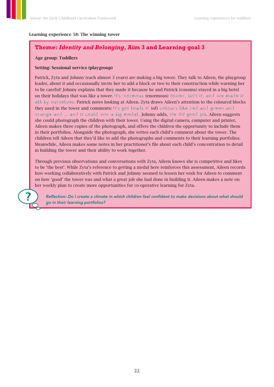#### Learning experience 58: The winning tower

## **Theme:** *Identity and Belonging***, Aim 3 and Learning goal 3**

#### Age group: Toddlers

#### Setting: Sessional service (playgroup)

Patrick, Zyta and Johnny (each almost 3 years) are making a big tower. They talk to Aileen, the playgroup leader, about it and occasionally invite her to add a block or two to their construction while warning her to be careful! Johnny explains that they made it because he and Patrick (cousins) stayed in a big hotel on their holidays that was like a tower. It's 'normous (enormous) tower, isn't it, and we made it all by ourselves, Patrick notes looking at Aileen. Zyta draws Aileen's attention to the coloured blocks they used in the tower and comments: It's got loads o' (of) colours like red and green and orange and … and it could win a big medal. Johnny adds, We did good job. Aileen suggests she could photograph the children with their tower. Using the digital camera, computer and printer, Aileen makes three copies of the photograph, and offers the children the opportunity to include them in their portfolios. Alongside the photograph, she writes each child's comment about the tower. The children tell Aileen that they'd like to add the photographs and comments to their learning portfolios. Meanwhile, Aileen makes some notes in her practitioner's file about each child's concentration to detail in building the tower and their ability to work together.

Through previous observations and conversations with Zyta, Aileen knows she is competitive and likes to be 'the best'. While Zyta's reference to getting a medal here reinforces this assessment, Aileen records how working collaboratively with Patrick and Johnny seemed to lessen her wish for Aileen to comment on how 'good' the tower was and what a great job she had done in building it. Aileen makes a note on her weekly plan to create more opportunities for co-operative learning for Zyta.

*Reflection: Do I create a climate in which children feel confident to make decisions about what should go in their learning portfolios?*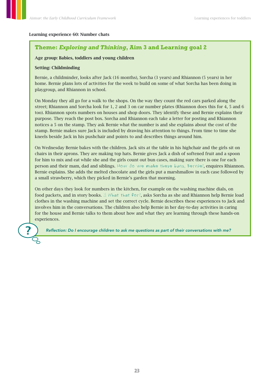#### Learning experience 60: Number chats

## **Theme:** *Exploring and Thinking***, Aim 3 and Learning goal 2**

#### Age group: Babies, toddlers and young children

#### Setting: Childminding

Bernie, a childminder, looks after Jack (16 months), Sorcha (3 years) and Rhiannon (5 years) in her home. Bernie plans lots of activities for the week to build on some of what Sorcha has been doing in playgroup, and Rhiannon in school.

On Monday they all go for a walk to the shops. On the way they count the red cars parked along the street; Rhiannon and Sorcha look for 1, 2 and 3 on car number plates (Rhiannon does this for 4, 5 and 6 too). Rhiannon spots numbers on houses and shop doors. They identify these and Bernie explains their purpose. They reach the post box. Sorcha and Rhiannon each take a letter for posting and Rhiannon notices a 5 on the stamp. They ask Bernie what the number is and she explains about the cost of the stamp. Bernie makes sure Jack is included by drawing his attention to things. From time to time she kneels beside Jack in his pushchair and points to and describes things around him.

On Wednesday Bernie bakes with the children. Jack sits at the table in his highchair and the girls sit on chairs in their aprons. They are making top hats. Bernie gives Jack a dish of softened fruit and a spoon for him to mix and eat while she and the girls count out bun cases, making sure there is one for each person and their mam, dad and siblings. How do we make these buns, Bernie?, enquires Rhiannon. Bernie explains. She adds the melted chocolate and the girls put a marshmallow in each case followed by a small strawberry, which they picked in Bernie's garden that morning.

On other days they look for numbers in the kitchen, for example on the washing machine dials, on food packets, and in story books. 2. What that for?, asks Sorcha as she and Rhiannon help Bernie load clothes in the washing machine and set the correct cycle. Bernie describes these experiences to Jack and involves him in the conversations. The children also help Bernie in her day-to-day activities in caring for the house and Bernie talks to them about how and what they are learning through these hands-on experiences.

*Reflection: Do I encourage children to ask me questions as part of their conversations with me?*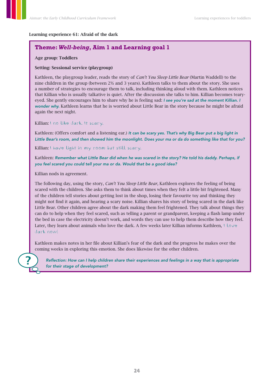#### Learning experience 61: Afraid of the dark

## **Theme:** *Well-being***, Aim 1 and Learning goal 1**

#### Age group: Toddlers

#### Setting: Sessional service (playgroup)

Kathleen, the playgroup leader, reads the story of *Can't You Sleep Little Bear* (Martin Waddell) to the nine children in the group (between 2½ and 3 years). Kathleen talks to them about the story. She uses a number of strategies to encourage them to talk, including thinking aloud with them. Kathleen notices that Killian who is usually talkative is quiet. After the discussion she talks to him. Killian becomes tearyeyed. She gently encourages him to share why he is feeling sad: *I see you're sad at the moment Killian. I wonder why.* Kathleen learns that he is worried about Little Bear in the story because he might be afraid again the next night.

## Killian: I no like dark. It scary.

Kathleen: (Offers comfort and a listening ear.) *It can be scary yes. That's why Big Bear put a big light in Little Bear's room, and then showed him the moonlight. Does your ma or da do something like that for you?*

Killian: I have light in my room but still scary.

Kathleen: *Remember what Little Bear did when he was scared in the story? He told his daddy. Perhaps, if you feel scared you could tell your ma or da. Would that be a good idea?*

#### Killian nods in agreement.

The following day, using the story, *Can't You Sleep Little Bear,* Kathleen explores the feeling of being scared with the children. She asks them to think about times when they felt a little bit frightened. Many of the children tell stories about getting lost in the shop, losing their favourite toy and thinking they might not find it again, and hearing a scary noise. Killian shares his story of being scared in the dark like Little Bear. Other children agree about the dark making them feel frightened. They talk about things they can do to help when they feel scared, such as telling a parent or grandparent, keeping a flash lamp under the bed in case the electricity doesn't work, and words they can use to help them describe how they feel. Later, they learn about animals who love the dark. A few weeks later Killian informs Kathleen,  $\frac{1}{2}$  love dark now!

Kathleen makes notes in her file about Killian's fear of the dark and the progress he makes over the coming weeks in exploring this emotion. She does likewise for the other children.



*Reflection: How can I help children share their experiences and feelings in a way that is appropriate for their stage of development?*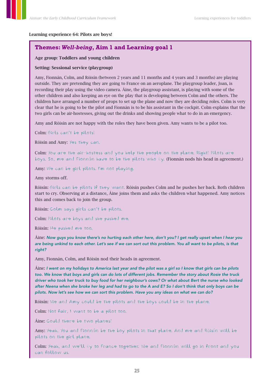#### Learning experience 64: Pilots are boys!

## **Themes:** *Well-being***, Aim 1 and Learning goal 1**

#### Age group: Toddlers and young children

#### Setting: Sessional service (playgroup)

Amy, Fionnán, Colm, and Róisín (between 2 years and 11 months and 4 years and 3 months) are playing outside. They are pretending they are going to France on an aeroplane. The playgroup leader, Joan, is recording their play using the video camera. Áine, the playgroup assistant, is playing with some of the other children and also keeping an eye on the play that is developing between Colm and the others. The children have arranged a number of props to set up the plane and now they are deciding roles. Colm is very clear that he is going to be the pilot and Fionnán is to be his assistant in the cockpit. Colm explains that the two girls can be air-hostesses, giving out the drinks and showing people what to do in an emergency.

Amy and Róisín are not happy with the roles they have been given. Amy wants to be a pilot too.

Colm: Girls can't be pilots!

Róisín and Amy: Yes they can.

Colm: You are the air-hostess and you help the people on the plane. Right? Pilots are boys. So, me and Fionnán have to be the pilots who fly. (Fionnán nods his head in agreement.)

Amy: We can be girl pilots. I'm not playing.

Amy storms off.

Róisín: Girls can be pilots if they want. Róisín pushes Colm and he pushes her back. Both children start to cry. Observing at a distance, Áine joins them and asks the children what happened. Amy notices this and comes back to join the group.

Róisín: Colm says girls can't be pilots.

Colm: Pilots are boys and she pushed me.

Róisín: He pushed me too.

Áine: *Now guys you know there's no hurting each other here, don't you? I get really upset when I hear you are being unkind to each other. Let's see if we can sort out this problem. You all want to be pilots, is that right?* 

Amy, Fionnán, Colm, and Róisín nod their heads in agreement.

Áine: *I went on my holidays to America last year and the pilot was a girl so I know that girls can be pilots too. We know that boys and girls can do lots of different jobs. Remember the story about Rosie the truck driver who took her truck to buy food for her neighbour's cows? Or what about Bert the nurse who looked after Neena when she broke her leg and had to go to the A and E? So I don't think that only boys can be pilots. Now let's see how we can sort this problem. Have you any ideas on what we can do?*

Róisín: Me and Amy could be the pilots and the boys could be in the plane.

Colm: Not fair, I want to be a pilot too.

Áine: Could there be two planes?

Amy: Yeah. You and Fionnán be the boy pilots in that plane. And me and Róisín will be pilots on the girl plane.

Colm: Yeah, and we'll fly to France together. Me and Fionnán will go in front and you can follow us.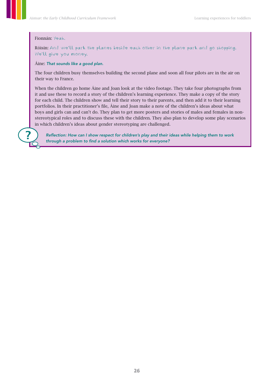#### Fionnán: Yeah.

Róisin: And we'll park the planes beside each other in the plane park and go shopping. We'll give you money.

#### Áine: *That sounds like a good plan.*

The four children busy themselves building the second plane and soon all four pilots are in the air on their way to France.

When the children go home Áine and Joan look at the video footage. They take four photographs from it and use these to record a story of the children's learning experience. They make a copy of the story for each child. The children show and tell their story to their parents, and then add it to their learning portfolios. In their practitioner's file, Áine and Joan make a note of the children's ideas about what boys and girls can and can't do. They plan to get more posters and stories of males and females in nonstereotypical roles and to discuss these with the children. They also plan to develop some play scenarios in which children's ideas about gender stereotyping are challenged.

*Reflection: How can I show respect for children's play and their ideas while helping them to work through a problem to find a solution which works for everyone?*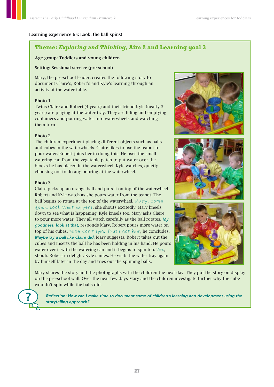#### Learning experience 65: Look, the ball spins!

## **Theme:** *Exploring and Thinking,* **Aim 2 and Learning goal 3**

#### Age group: Toddlers and young children

#### Setting: Sessional service (pre-school)

Mary, the pre-school leader, creates the following story to document Claire's, Robert's and Kyle's learning through an activity at the water table.

#### Photo 1

Twins Claire and Robert (4 years) and their friend Kyle (nearly 3 years) are playing at the water tray. They are filling and emptying containers and pouring water into waterwheels and watching them turn.

#### Photo 2

The children experiment placing different objects such as balls and cubes in the waterwheels. Claire likes to use the teapot to pour water. Robert joins her in doing this. He uses the small watering can from the vegetable patch to put water over the blocks he has placed in the waterwheel. Kyle watches, quietly choosing not to do any pouring at the waterwheel.

#### Photo 3

Claire picks up an orange ball and puts it on top of the waterwheel. Robert and Kyle watch as she pours water from the teapot. The ball begins to rotate at the top of the waterwheel. Mary, come quick. Look what happens, she shouts excitedly. Mary kneels down to see what is happening. Kyle kneels too. Mary asks Claire to pour more water. They all watch carefully as the ball rotates. *My goodness, look at that,* responds Mary. Robert pours more water on top of his cubes. Mine don't spin. That's not fair, he concludes. *Maybe try a ball like Claire did,* Mary suggests. Robert takes out the cubes and inserts the ball he has been holding in his hand. He pours water over it with the watering can and it begins to spin too.  $\forall$ es, shouts Robert in delight. Kyle smiles. He visits the water tray again by himself later in the day and tries out the spinning balls.





Mary shares the story and the photographs with the children the next day. They put the story on display on the pre-school wall. Over the next few days Mary and the children investigate further why the cube wouldn't spin while the balls did.



*Reflection: How can I make time to document some of children's learning and development using the storytelling approach?*